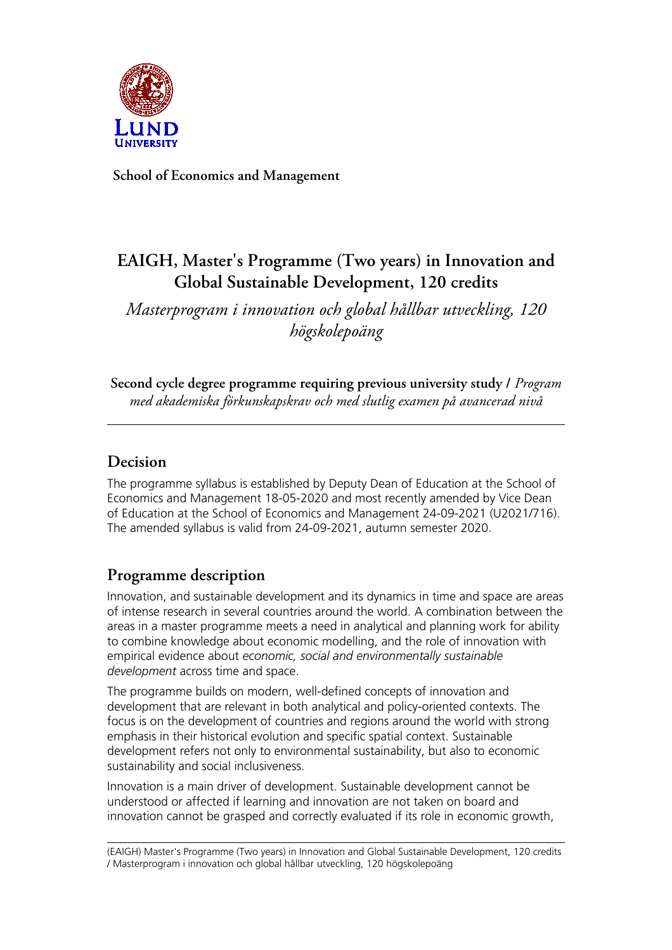

**School of Economics and Management**

# **EAIGH, Master's Programme (Two years) in Innovation and Global Sustainable Development, 120 credits**

*Masterprogram i innovation och global hållbar utveckling, 120 högskolepoäng*

**Second cycle degree programme requiring previous university study /** *Program med akademiska förkunskapskrav och med slutlig examen på avancerad nivå*

# **Decision**

The programme syllabus is established by Deputy Dean of Education at the School of Economics and Management 18-05-2020 and most recently amended by Vice Dean of Education at the School of Economics and Management 24-09-2021 (U2021/716). The amended syllabus is valid from 24-09-2021, autumn semester 2020.

# **Programme description**

Innovation, and sustainable development and its dynamics in time and space are areas of intense research in several countries around the world. A combination between the areas in a master programme meets a need in analytical and planning work for ability to combine knowledge about economic modelling, and the role of innovation with empirical evidence about *economic, social and environmentally sustainable development* across time and space.

The programme builds on modern, well-defined concepts of innovation and development that are relevant in both analytical and policy-oriented contexts. The focus is on the development of countries and regions around the world with strong emphasis in their historical evolution and specific spatial context. Sustainable development refers not only to environmental sustainability, but also to economic sustainability and social inclusiveness.

Innovation is a main driver of development. Sustainable development cannot be understood or affected if learning and innovation are not taken on board and innovation cannot be grasped and correctly evaluated if its role in economic growth,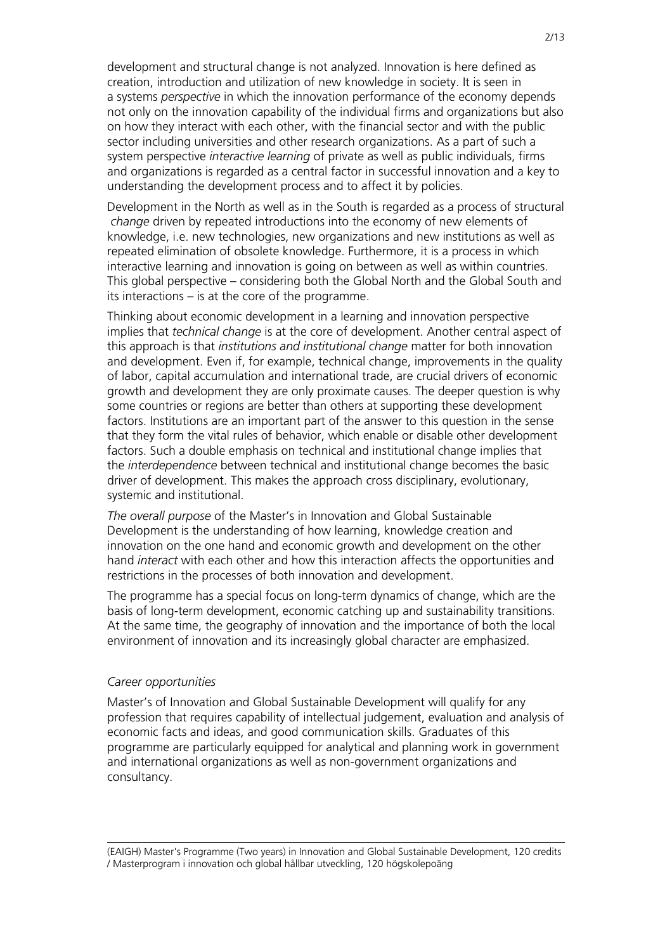development and structural change is not analyzed. Innovation is here defined as creation, introduction and utilization of new knowledge in society. It is seen in a systems *perspective* in which the innovation performance of the economy depends not only on the innovation capability of the individual firms and organizations but also on how they interact with each other, with the financial sector and with the public sector including universities and other research organizations. As a part of such a system perspective *interactive learning* of private as well as public individuals, firms and organizations is regarded as a central factor in successful innovation and a key to understanding the development process and to affect it by policies.

Development in the North as well as in the South is regarded as a process of structural *change* driven by repeated introductions into the economy of new elements of knowledge, i.e. new technologies, new organizations and new institutions as well as repeated elimination of obsolete knowledge. Furthermore, it is a process in which interactive learning and innovation is going on between as well as within countries. This global perspective – considering both the Global North and the Global South and its interactions – is at the core of the programme.

Thinking about economic development in a learning and innovation perspective implies that *technical change* is at the core of development. Another central aspect of this approach is that *institutions and institutional change* matter for both innovation and development. Even if, for example, technical change, improvements in the quality of labor, capital accumulation and international trade, are crucial drivers of economic growth and development they are only proximate causes. The deeper question is why some countries or regions are better than others at supporting these development factors. Institutions are an important part of the answer to this question in the sense that they form the vital rules of behavior, which enable or disable other development factors. Such a double emphasis on technical and institutional change implies that the *interdependence* between technical and institutional change becomes the basic driver of development. This makes the approach cross disciplinary, evolutionary, systemic and institutional.

*The overall purpose* of the Master's in Innovation and Global Sustainable Development is the understanding of how learning, knowledge creation and innovation on the one hand and economic growth and development on the other hand *interact* with each other and how this interaction affects the opportunities and restrictions in the processes of both innovation and development.

The programme has a special focus on long-term dynamics of change, which are the basis of long-term development, economic catching up and sustainability transitions. At the same time, the geography of innovation and the importance of both the local environment of innovation and its increasingly global character are emphasized.

#### *Career opportunities*

Master's of Innovation and Global Sustainable Development will qualify for any profession that requires capability of intellectual judgement, evaluation and analysis of economic facts and ideas, and good communication skills. Graduates of this programme are particularly equipped for analytical and planning work in government and international organizations as well as non-government organizations and consultancy.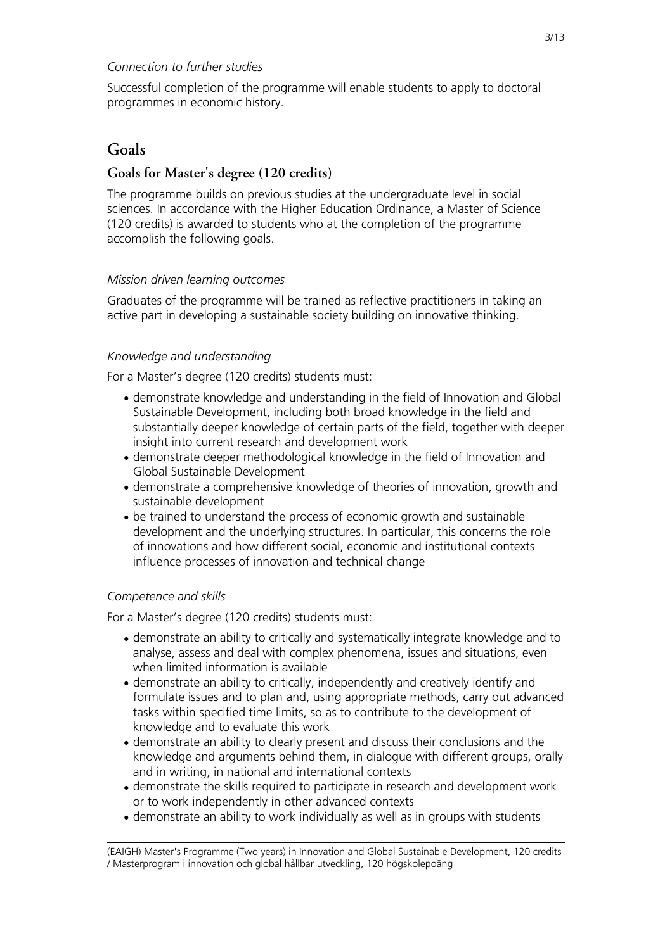## *Connection to further studies*

Successful completion of the programme will enable students to apply to doctoral programmes in economic history.

# **Goals**

# **Goals for Master's degree (120 credits)**

The programme builds on previous studies at the undergraduate level in social sciences. In accordance with the Higher Education Ordinance, a Master of Science (120 credits) is awarded to students who at the completion of the programme accomplish the following goals.

## *Mission driven learning outcomes*

Graduates of the programme will be trained as reflective practitioners in taking an active part in developing a sustainable society building on innovative thinking.

## *Knowledge and understanding*

For a Master's degree (120 credits) students must:

- demonstrate knowledge and understanding in the field of Innovation and Global Sustainable Development, including both broad knowledge in the field and substantially deeper knowledge of certain parts of the field, together with deeper insight into current research and development work
- demonstrate deeper methodological knowledge in the field of Innovation and Global Sustainable Development
- demonstrate a comprehensive knowledge of theories of innovation, growth and sustainable development
- be trained to understand the process of economic growth and sustainable development and the underlying structures. In particular, this concerns the role of innovations and how different social, economic and institutional contexts influence processes of innovation and technical change

## *Competence and skills*

For a Master's degree (120 credits) students must:

- demonstrate an ability to critically and systematically integrate knowledge and to analyse, assess and deal with complex phenomena, issues and situations, even when limited information is available
- demonstrate an ability to critically, independently and creatively identify and formulate issues and to plan and, using appropriate methods, carry out advanced tasks within specified time limits, so as to contribute to the development of knowledge and to evaluate this work
- demonstrate an ability to clearly present and discuss their conclusions and the knowledge and arguments behind them, in dialogue with different groups, orally and in writing, in national and international contexts
- demonstrate the skills required to participate in research and development work or to work independently in other advanced contexts
- demonstrate an ability to work individually as well as in groups with students

<sup>(</sup>EAIGH) Master's Programme (Two years) in Innovation and Global Sustainable Development, 120 credits / Masterprogram i innovation och global hållbar utveckling, 120 högskolepoäng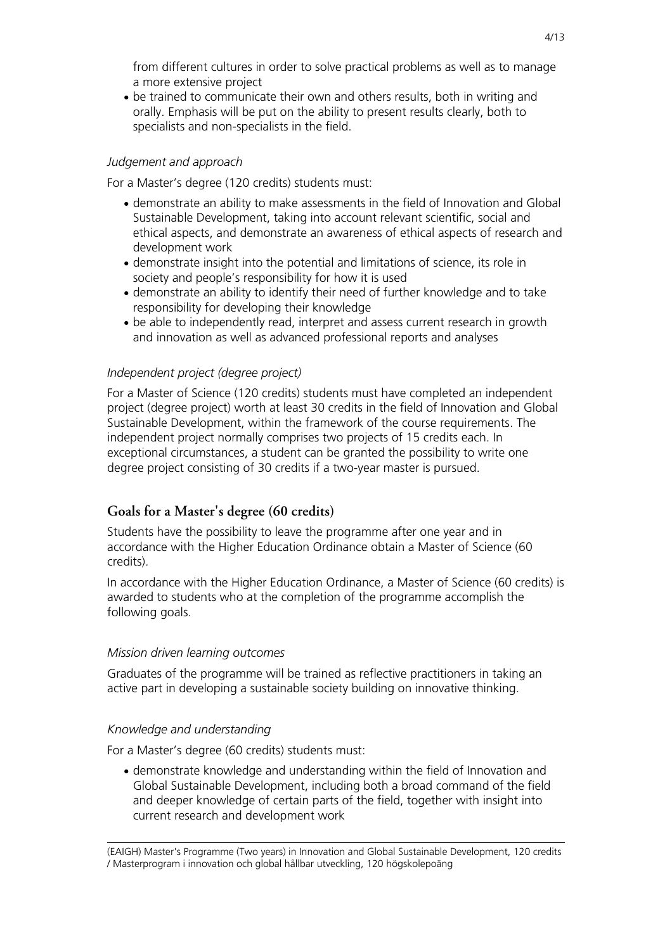from different cultures in order to solve practical problems as well as to manage a more extensive project

• be trained to communicate their own and others results, both in writing and orally. Emphasis will be put on the ability to present results clearly, both to specialists and non-specialists in the field.

## *Judgement and approach*

For a Master's degree (120 credits) students must:

- demonstrate an ability to make assessments in the field of Innovation and Global Sustainable Development, taking into account relevant scientific, social and ethical aspects, and demonstrate an awareness of ethical aspects of research and development work
- demonstrate insight into the potential and limitations of science, its role in society and people's responsibility for how it is used
- demonstrate an ability to identify their need of further knowledge and to take responsibility for developing their knowledge
- be able to independently read, interpret and assess current research in growth and innovation as well as advanced professional reports and analyses

### *Independent project (degree project)*

For a Master of Science (120 credits) students must have completed an independent project (degree project) worth at least 30 credits in the field of Innovation and Global Sustainable Development, within the framework of the course requirements. The independent project normally comprises two projects of 15 credits each. In exceptional circumstances, a student can be granted the possibility to write one degree project consisting of 30 credits if a two-year master is pursued.

### **Goals for a Master's degree (60 credits)**

Students have the possibility to leave the programme after one year and in accordance with the Higher Education Ordinance obtain a Master of Science (60 credits).

In accordance with the Higher Education Ordinance, a Master of Science (60 credits) is awarded to students who at the completion of the programme accomplish the following goals.

#### *Mission driven learning outcomes*

Graduates of the programme will be trained as reflective practitioners in taking an active part in developing a sustainable society building on innovative thinking.

#### *Knowledge and understanding*

For a Master's degree (60 credits) students must:

• demonstrate knowledge and understanding within the field of Innovation and Global Sustainable Development, including both a broad command of the field and deeper knowledge of certain parts of the field, together with insight into current research and development work

<sup>(</sup>EAIGH) Master's Programme (Two years) in Innovation and Global Sustainable Development, 120 credits / Masterprogram i innovation och global hållbar utveckling, 120 högskolepoäng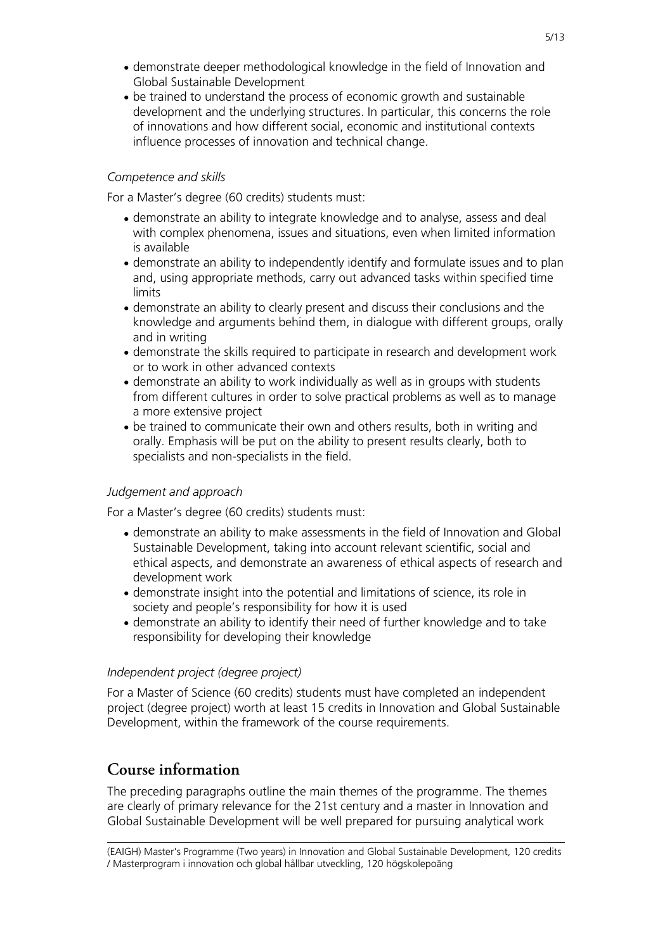- demonstrate deeper methodological knowledge in the field of Innovation and Global Sustainable Development
- be trained to understand the process of economic growth and sustainable development and the underlying structures. In particular, this concerns the role of innovations and how different social, economic and institutional contexts influence processes of innovation and technical change.

### *Competence and skills*

For a Master's degree (60 credits) students must:

- demonstrate an ability to integrate knowledge and to analyse, assess and deal with complex phenomena, issues and situations, even when limited information is available
- demonstrate an ability to independently identify and formulate issues and to plan and, using appropriate methods, carry out advanced tasks within specified time limits
- demonstrate an ability to clearly present and discuss their conclusions and the knowledge and arguments behind them, in dialogue with different groups, orally and in writing
- demonstrate the skills required to participate in research and development work or to work in other advanced contexts
- demonstrate an ability to work individually as well as in groups with students from different cultures in order to solve practical problems as well as to manage a more extensive project
- be trained to communicate their own and others results, both in writing and orally. Emphasis will be put on the ability to present results clearly, both to specialists and non-specialists in the field.

### *Judgement and approach*

For a Master's degree (60 credits) students must:

- demonstrate an ability to make assessments in the field of Innovation and Global Sustainable Development, taking into account relevant scientific, social and ethical aspects, and demonstrate an awareness of ethical aspects of research and development work
- demonstrate insight into the potential and limitations of science, its role in society and people's responsibility for how it is used
- demonstrate an ability to identify their need of further knowledge and to take responsibility for developing their knowledge

### *Independent project (degree project)*

For a Master of Science (60 credits) students must have completed an independent project (degree project) worth at least 15 credits in Innovation and Global Sustainable Development, within the framework of the course requirements.

# **Course information**

The preceding paragraphs outline the main themes of the programme. The themes are clearly of primary relevance for the 21st century and a master in Innovation and Global Sustainable Development will be well prepared for pursuing analytical work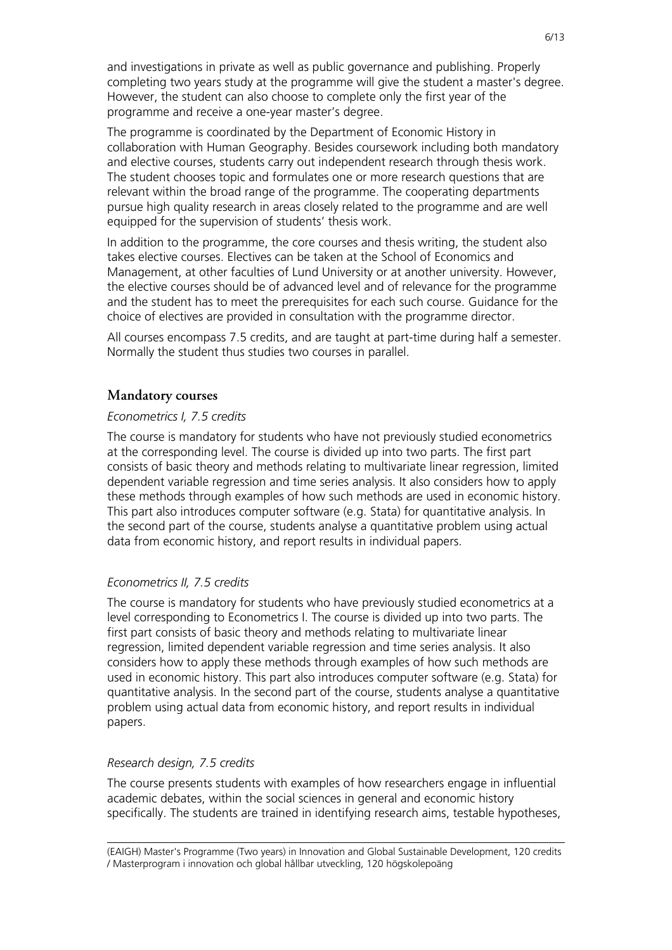and investigations in private as well as public governance and publishing. Properly completing two years study at the programme will give the student a master's degree. However, the student can also choose to complete only the first year of the programme and receive a one-year master's degree.

The programme is coordinated by the Department of Economic History in collaboration with Human Geography. Besides coursework including both mandatory and elective courses, students carry out independent research through thesis work. The student chooses topic and formulates one or more research questions that are relevant within the broad range of the programme. The cooperating departments pursue high quality research in areas closely related to the programme and are well equipped for the supervision of students' thesis work.

In addition to the programme, the core courses and thesis writing, the student also takes elective courses. Electives can be taken at the School of Economics and Management, at other faculties of Lund University or at another university. However, the elective courses should be of advanced level and of relevance for the programme and the student has to meet the prerequisites for each such course. Guidance for the choice of electives are provided in consultation with the programme director.

All courses encompass 7.5 credits, and are taught at part-time during half a semester. Normally the student thus studies two courses in parallel.

## **Mandatory courses**

#### *Econometrics I, 7.5 credits*

The course is mandatory for students who have not previously studied econometrics at the corresponding level. The course is divided up into two parts. The first part consists of basic theory and methods relating to multivariate linear regression, limited dependent variable regression and time series analysis. It also considers how to apply these methods through examples of how such methods are used in economic history. This part also introduces computer software (e.g. Stata) for quantitative analysis. In the second part of the course, students analyse a quantitative problem using actual data from economic history, and report results in individual papers.

### *Econometrics II, 7.5 credits*

The course is mandatory for students who have previously studied econometrics at a level corresponding to Econometrics I. The course is divided up into two parts. The first part consists of basic theory and methods relating to multivariate linear regression, limited dependent variable regression and time series analysis. It also considers how to apply these methods through examples of how such methods are used in economic history. This part also introduces computer software (e.g. Stata) for quantitative analysis. In the second part of the course, students analyse a quantitative problem using actual data from economic history, and report results in individual papers.

#### *Research design, 7.5 credits*

The course presents students with examples of how researchers engage in influential academic debates, within the social sciences in general and economic history specifically. The students are trained in identifying research aims, testable hypotheses,

<sup>(</sup>EAIGH) Master's Programme (Two years) in Innovation and Global Sustainable Development, 120 credits / Masterprogram i innovation och global hållbar utveckling, 120 högskolepoäng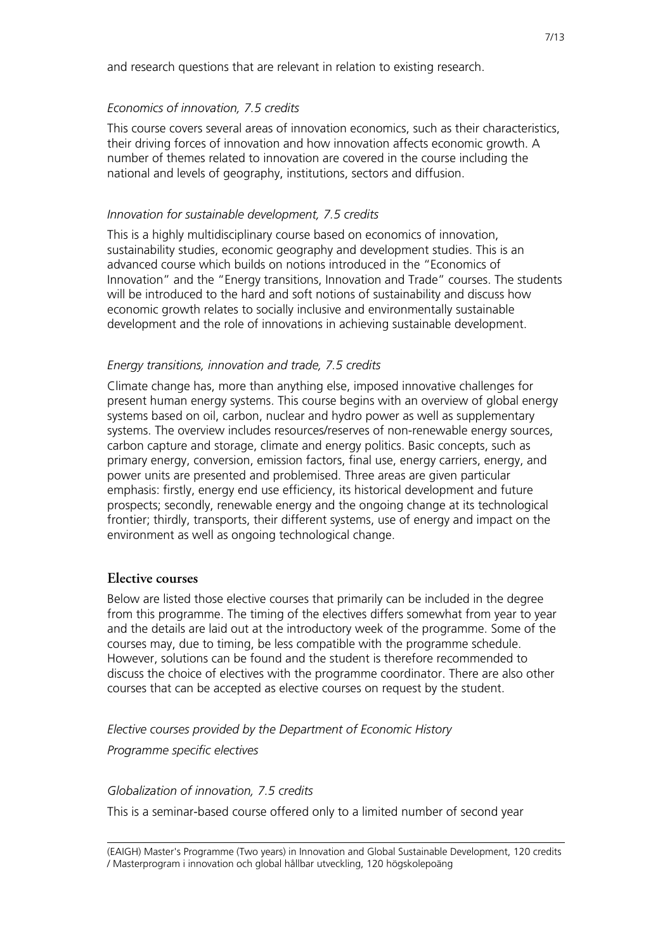and research questions that are relevant in relation to existing research.

## *Economics of innovation, 7.5 credits*

This course covers several areas of innovation economics, such as their characteristics, their driving forces of innovation and how innovation affects economic growth. A number of themes related to innovation are covered in the course including the national and levels of geography, institutions, sectors and diffusion.

## *Innovation for sustainable development, 7.5 credits*

This is a highly multidisciplinary course based on economics of innovation, sustainability studies, economic geography and development studies. This is an advanced course which builds on notions introduced in the "Economics of Innovation" and the "Energy transitions, Innovation and Trade" courses. The students will be introduced to the hard and soft notions of sustainability and discuss how economic growth relates to socially inclusive and environmentally sustainable development and the role of innovations in achieving sustainable development.

## *Energy transitions, innovation and trade, 7.5 credits*

Climate change has, more than anything else, imposed innovative challenges for present human energy systems. This course begins with an overview of global energy systems based on oil, carbon, nuclear and hydro power as well as supplementary systems. The overview includes resources/reserves of non-renewable energy sources, carbon capture and storage, climate and energy politics. Basic concepts, such as primary energy, conversion, emission factors, final use, energy carriers, energy, and power units are presented and problemised. Three areas are given particular emphasis: firstly, energy end use efficiency, its historical development and future prospects; secondly, renewable energy and the ongoing change at its technological frontier; thirdly, transports, their different systems, use of energy and impact on the environment as well as ongoing technological change.

## **Elective courses**

Below are listed those elective courses that primarily can be included in the degree from this programme. The timing of the electives differs somewhat from year to year and the details are laid out at the introductory week of the programme. Some of the courses may, due to timing, be less compatible with the programme schedule. However, solutions can be found and the student is therefore recommended to discuss the choice of electives with the programme coordinator. There are also other courses that can be accepted as elective courses on request by the student.

*Elective courses provided by the Department of Economic History*

*Programme specific electives*

*Globalization of innovation, 7.5 credits*

This is a seminar-based course offered only to a limited number of second year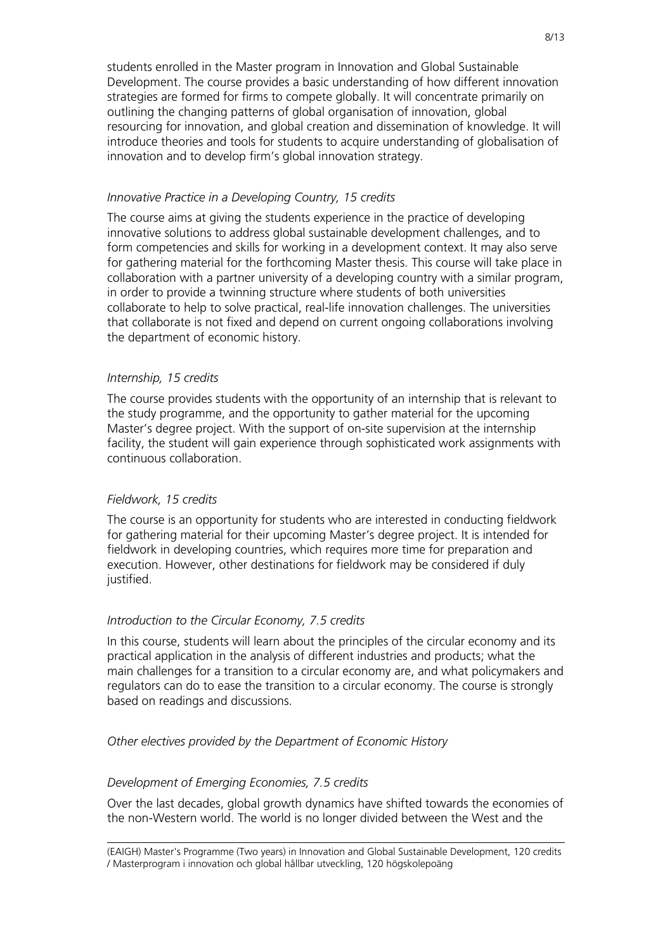students enrolled in the Master program in Innovation and Global Sustainable Development. The course provides a basic understanding of how different innovation strategies are formed for firms to compete globally. It will concentrate primarily on outlining the changing patterns of global organisation of innovation, global resourcing for innovation, and global creation and dissemination of knowledge. It will introduce theories and tools for students to acquire understanding of globalisation of innovation and to develop firm's global innovation strategy.

#### *Innovative Practice in a Developing Country, 15 credits*

The course aims at giving the students experience in the practice of developing innovative solutions to address global sustainable development challenges, and to form competencies and skills for working in a development context. It may also serve for gathering material for the forthcoming Master thesis. This course will take place in collaboration with a partner university of a developing country with a similar program, in order to provide a twinning structure where students of both universities collaborate to help to solve practical, real-life innovation challenges. The universities that collaborate is not fixed and depend on current ongoing collaborations involving the department of economic history.

#### *Internship, 15 credits*

The course provides students with the opportunity of an internship that is relevant to the study programme, and the opportunity to gather material for the upcoming Master's degree project. With the support of on-site supervision at the internship facility, the student will gain experience through sophisticated work assignments with continuous collaboration.

### *Fieldwork, 15 credits*

The course is an opportunity for students who are interested in conducting fieldwork for gathering material for their upcoming Master's degree project. It is intended for fieldwork in developing countries, which requires more time for preparation and execution. However, other destinations for fieldwork may be considered if duly justified.

### *Introduction to the Circular Economy, 7.5 credits*

In this course, students will learn about the principles of the circular economy and its practical application in the analysis of different industries and products; what the main challenges for a transition to a circular economy are, and what policymakers and regulators can do to ease the transition to a circular economy. The course is strongly based on readings and discussions.

#### *Other electives provided by the Department of Economic History*

### *Development of Emerging Economies, 7.5 credits*

Over the last decades, global growth dynamics have shifted towards the economies of the non-Western world. The world is no longer divided between the West and the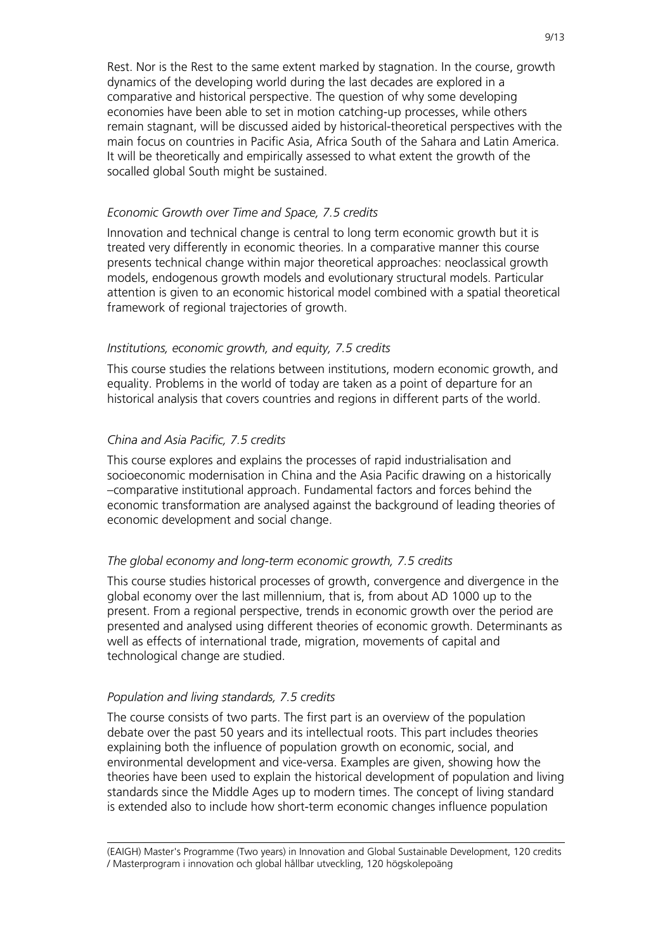Rest. Nor is the Rest to the same extent marked by stagnation. In the course, growth dynamics of the developing world during the last decades are explored in a comparative and historical perspective. The question of why some developing economies have been able to set in motion catching-up processes, while others remain stagnant, will be discussed aided by historical-theoretical perspectives with the main focus on countries in Pacific Asia, Africa South of the Sahara and Latin America. It will be theoretically and empirically assessed to what extent the growth of the socalled global South might be sustained.

#### *Economic Growth over Time and Space, 7.5 credits*

Innovation and technical change is central to long term economic growth but it is treated very differently in economic theories. In a comparative manner this course presents technical change within major theoretical approaches: neoclassical growth models, endogenous growth models and evolutionary structural models. Particular attention is given to an economic historical model combined with a spatial theoretical framework of regional trajectories of growth.

#### *Institutions, economic growth, and equity, 7.5 credits*

This course studies the relations between institutions, modern economic growth, and equality. Problems in the world of today are taken as a point of departure for an historical analysis that covers countries and regions in different parts of the world.

#### *China and Asia Pacific, 7.5 credits*

This course explores and explains the processes of rapid industrialisation and socioeconomic modernisation in China and the Asia Pacific drawing on a historically –comparative institutional approach. Fundamental factors and forces behind the economic transformation are analysed against the background of leading theories of economic development and social change.

### *The global economy and long-term economic growth, 7.5 credits*

This course studies historical processes of growth, convergence and divergence in the global economy over the last millennium, that is, from about AD 1000 up to the present. From a regional perspective, trends in economic growth over the period are presented and analysed using different theories of economic growth. Determinants as well as effects of international trade, migration, movements of capital and technological change are studied.

#### *Population and living standards, 7.5 credits*

The course consists of two parts. The first part is an overview of the population debate over the past 50 years and its intellectual roots. This part includes theories explaining both the influence of population growth on economic, social, and environmental development and vice-versa. Examples are given, showing how the theories have been used to explain the historical development of population and living standards since the Middle Ages up to modern times. The concept of living standard is extended also to include how short-term economic changes influence population

<sup>(</sup>EAIGH) Master's Programme (Two years) in Innovation and Global Sustainable Development, 120 credits / Masterprogram i innovation och global hållbar utveckling, 120 högskolepoäng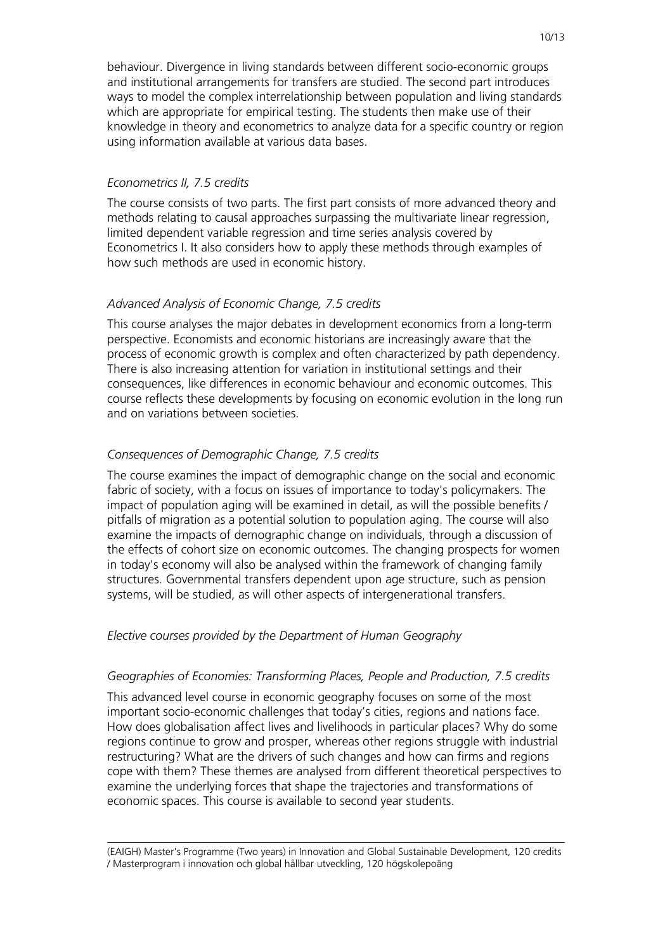behaviour. Divergence in living standards between different socio-economic groups and institutional arrangements for transfers are studied. The second part introduces ways to model the complex interrelationship between population and living standards which are appropriate for empirical testing. The students then make use of their knowledge in theory and econometrics to analyze data for a specific country or region using information available at various data bases.

### *Econometrics II, 7.5 credits*

The course consists of two parts. The first part consists of more advanced theory and methods relating to causal approaches surpassing the multivariate linear regression, limited dependent variable regression and time series analysis covered by Econometrics I. It also considers how to apply these methods through examples of how such methods are used in economic history.

## *Advanced Analysis of Economic Change, 7.5 credits*

This course analyses the major debates in development economics from a long-term perspective. Economists and economic historians are increasingly aware that the process of economic growth is complex and often characterized by path dependency. There is also increasing attention for variation in institutional settings and their consequences, like differences in economic behaviour and economic outcomes. This course reflects these developments by focusing on economic evolution in the long run and on variations between societies.

## *Consequences of Demographic Change, 7.5 credits*

The course examines the impact of demographic change on the social and economic fabric of society, with a focus on issues of importance to today's policymakers. The impact of population aging will be examined in detail, as will the possible benefits / pitfalls of migration as a potential solution to population aging. The course will also examine the impacts of demographic change on individuals, through a discussion of the effects of cohort size on economic outcomes. The changing prospects for women in today's economy will also be analysed within the framework of changing family structures. Governmental transfers dependent upon age structure, such as pension systems, will be studied, as will other aspects of intergenerational transfers.

### *Elective courses provided by the Department of Human Geography*

### *Geographies of Economies: Transforming Places, People and Production, 7.5 credits*

This advanced level course in economic geography focuses on some of the most important socio-economic challenges that today's cities, regions and nations face. How does globalisation affect lives and livelihoods in particular places? Why do some regions continue to grow and prosper, whereas other regions struggle with industrial restructuring? What are the drivers of such changes and how can firms and regions cope with them? These themes are analysed from different theoretical perspectives to examine the underlying forces that shape the trajectories and transformations of economic spaces. This course is available to second year students.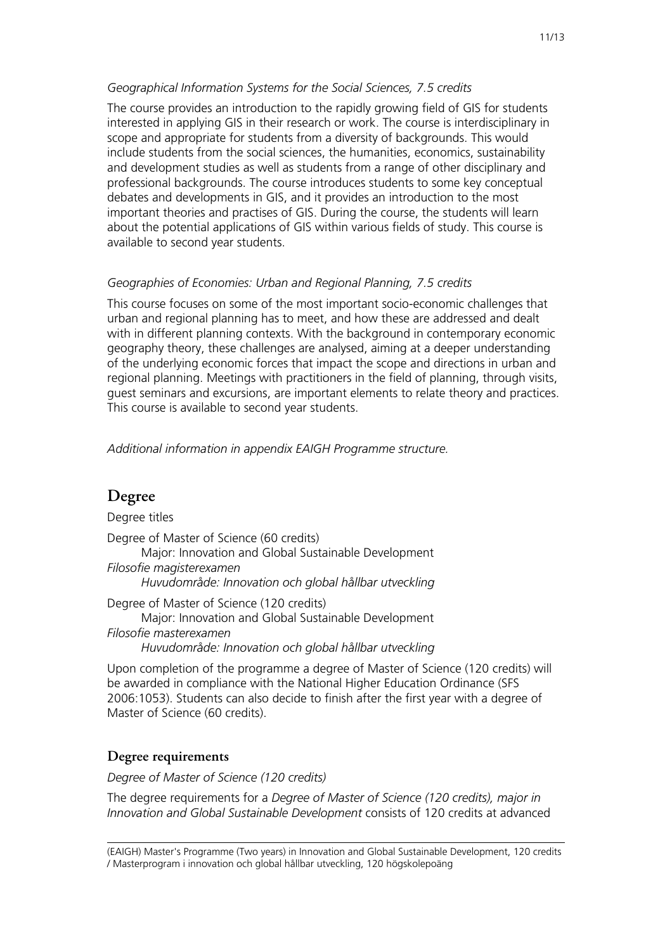## *Geographical Information Systems for the Social Sciences, 7.5 credits*

The course provides an introduction to the rapidly growing field of GIS for students interested in applying GIS in their research or work. The course is interdisciplinary in scope and appropriate for students from a diversity of backgrounds. This would include students from the social sciences, the humanities, economics, sustainability and development studies as well as students from a range of other disciplinary and professional backgrounds. The course introduces students to some key conceptual debates and developments in GIS, and it provides an introduction to the most important theories and practises of GIS. During the course, the students will learn about the potential applications of GIS within various fields of study. This course is available to second year students.

## *Geographies of Economies: Urban and Regional Planning, 7.5 credits*

This course focuses on some of the most important socio-economic challenges that urban and regional planning has to meet, and how these are addressed and dealt with in different planning contexts. With the background in contemporary economic geography theory, these challenges are analysed, aiming at a deeper understanding of the underlying economic forces that impact the scope and directions in urban and regional planning. Meetings with practitioners in the field of planning, through visits, guest seminars and excursions, are important elements to relate theory and practices. This course is available to second year students.

## *Additional information in appendix EAIGH Programme structure.*

## **Degree**

Degree titles Degree of Master of Science (60 credits) Major: Innovation and Global Sustainable Development *Filosofie magisterexamen Huvudområde: Innovation och global hållbar utveckling* Degree of Master of Science (120 credits) Major: Innovation and Global Sustainable Development

*Filosofie masterexamen Huvudområde: Innovation och global hållbar utveckling*

Upon completion of the programme a degree of Master of Science (120 credits) will be awarded in compliance with the National Higher Education Ordinance (SFS 2006:1053). Students can also decide to finish after the first year with a degree of Master of Science (60 credits).

## **Degree requirements**

*Degree of Master of Science (120 credits)*

The degree requirements for a *Degree of Master of Science (120 credits), major in Innovation and Global Sustainable Development* consists of 120 credits at advanced

<sup>(</sup>EAIGH) Master's Programme (Two years) in Innovation and Global Sustainable Development, 120 credits / Masterprogram i innovation och global hållbar utveckling, 120 högskolepoäng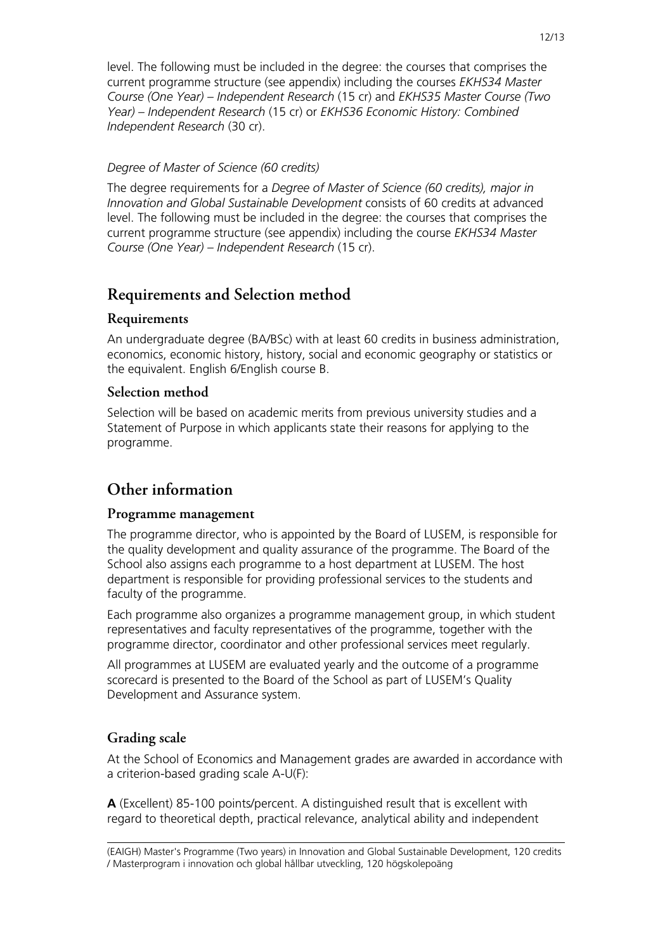level. The following must be included in the degree: the courses that comprises the current programme structure (see appendix) including the courses *EKHS34 Master Course (One Year) – Independent Research* (15 cr) and *EKHS35 Master Course (Two Year) – Independent Research* (15 cr) or *EKHS36 Economic History: Combined Independent Research* (30 cr).

## *Degree of Master of Science (60 credits)*

The degree requirements for a *Degree of Master of Science (60 credits), major in Innovation and Global Sustainable Development* consists of 60 credits at advanced level. The following must be included in the degree: the courses that comprises the current programme structure (see appendix) including the course *EKHS34 Master Course (One Year) – Independent Research* (15 cr).

# **Requirements and Selection method**

## **Requirements**

An undergraduate degree (BA/BSc) with at least 60 credits in business administration, economics, economic history, history, social and economic geography or statistics or the equivalent. English 6/English course B.

## **Selection method**

Selection will be based on academic merits from previous university studies and a Statement of Purpose in which applicants state their reasons for applying to the programme.

# **Other information**

## **Programme management**

The programme director, who is appointed by the Board of LUSEM, is responsible for the quality development and quality assurance of the programme. The Board of the School also assigns each programme to a host department at LUSEM. The host department is responsible for providing professional services to the students and faculty of the programme.

Each programme also organizes a programme management group, in which student representatives and faculty representatives of the programme, together with the programme director, coordinator and other professional services meet regularly.

All programmes at LUSEM are evaluated yearly and the outcome of a programme scorecard is presented to the Board of the School as part of LUSEM's Quality Development and Assurance system.

## **Grading scale**

At the School of Economics and Management grades are awarded in accordance with a criterion-based grading scale A-U(F):

**A** (Excellent) 85-100 points/percent. A distinguished result that is excellent with regard to theoretical depth, practical relevance, analytical ability and independent

<sup>(</sup>EAIGH) Master's Programme (Two years) in Innovation and Global Sustainable Development, 120 credits / Masterprogram i innovation och global hållbar utveckling, 120 högskolepoäng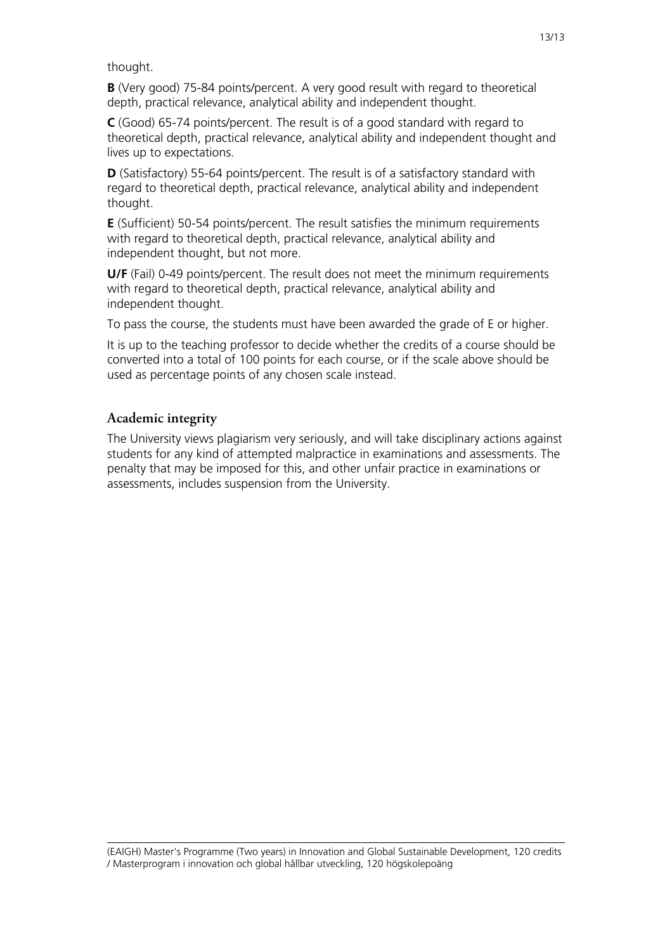thought.

**B** (Very good) 75-84 points/percent. A very good result with regard to theoretical depth, practical relevance, analytical ability and independent thought.

**C** (Good) 65-74 points/percent. The result is of a good standard with regard to theoretical depth, practical relevance, analytical ability and independent thought and lives up to expectations.

**D** (Satisfactory) 55-64 points/percent. The result is of a satisfactory standard with regard to theoretical depth, practical relevance, analytical ability and independent thought.

**E** (Sufficient) 50-54 points/percent. The result satisfies the minimum requirements with regard to theoretical depth, practical relevance, analytical ability and independent thought, but not more.

**U/F** (Fail) 0-49 points/percent. The result does not meet the minimum requirements with regard to theoretical depth, practical relevance, analytical ability and independent thought.

To pass the course, the students must have been awarded the grade of E or higher.

It is up to the teaching professor to decide whether the credits of a course should be converted into a total of 100 points for each course, or if the scale above should be used as percentage points of any chosen scale instead.

## **Academic integrity**

The University views plagiarism very seriously, and will take disciplinary actions against students for any kind of attempted malpractice in examinations and assessments. The penalty that may be imposed for this, and other unfair practice in examinations or assessments, includes suspension from the University.